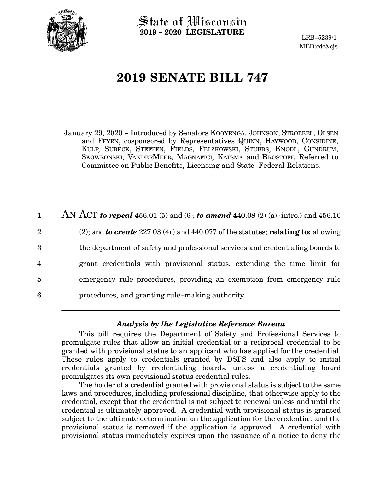

State of Wisconsin **2019 - 2020 LEGISLATURE**

LRB-5239/1 MED:cdc&cjs

# **2019 SENATE BILL 747**

January 29, 2020 - Introduced by Senators KOOYENGA, JOHNSON, STROEBEL, OLSEN and FEYEN, cosponsored by Representatives QUINN, HAYWOOD, CONSIDINE, KULP, SUBECK, STEFFEN, FIELDS, FELZKOWSKI, STUBBS, KNODL, GUNDRUM, SKOWRONSKI, VANDERMEER, MAGNAFICI, KATSMA and BROSTOFF. Referred to Committee on Public Benefits, Licensing and State-Federal Relations.

AN ACT *to repeal* 456.01 (5) and (6); *to amend* 440.08 (2) (a) (intro.) and 456.10 (2); and *to create* 227.03 (4r) and 440.077 of the statutes; **relating to:** allowing the department of safety and professional services and credentialing boards to grant credentials with provisional status, extending the time limit for emergency rule procedures, providing an exemption from emergency rule procedures, and granting rule-making authority. 1 2 3 4 5 6

## *Analysis by the Legislative Reference Bureau*

This bill requires the Department of Safety and Professional Services to promulgate rules that allow an initial credential or a reciprocal credential to be granted with provisional status to an applicant who has applied for the credential. These rules apply to credentials granted by DSPS and also apply to initial credentials granted by credentialing boards, unless a credentialing board promulgates its own provisional status credential rules.

The holder of a credential granted with provisional status is subject to the same laws and procedures, including professional discipline, that otherwise apply to the credential, except that the credential is not subject to renewal unless and until the credential is ultimately approved. A credential with provisional status is granted subject to the ultimate determination on the application for the credential, and the provisional status is removed if the application is approved. A credential with provisional status immediately expires upon the issuance of a notice to deny the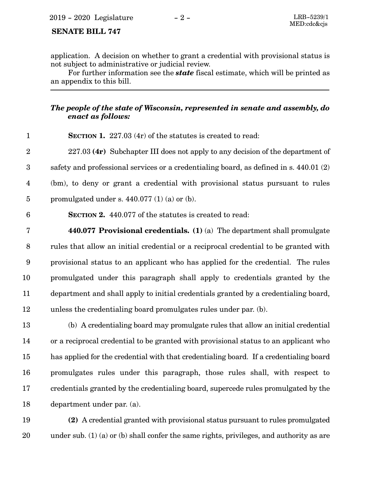## **SENATE BILL 747**

application. A decision on whether to grant a credential with provisional status is not subject to administrative or judicial review.

For further information see the *state* fiscal estimate, which will be printed as an appendix to this bill.

# *The people of the state of Wisconsin, represented in senate and assembly, do enact as follows:*

| $\mathbf{1}$            | <b>SECTION 1.</b> 227.03 (4r) of the statutes is created to read:                      |
|-------------------------|----------------------------------------------------------------------------------------|
| $\overline{2}$          | $227.03$ (4r) Subchapter III does not apply to any decision of the department of       |
| 3                       | safety and professional services or a credentialing board, as defined in s. 440.01 (2) |
| $\overline{\mathbf{4}}$ | (bm), to deny or grant a credential with provisional status pursuant to rules          |
| $\overline{5}$          | promulgated under s. $440.077$ (1) (a) or (b).                                         |
| $6\phantom{1}6$         | <b>SECTION 2.</b> 440.077 of the statutes is created to read:                          |
| $\overline{7}$          | 440.077 Provisional credentials. (1) (a) The department shall promulgate               |
| 8                       | rules that allow an initial credential or a reciprocal credential to be granted with   |
| 9                       | provisional status to an applicant who has applied for the credential. The rules       |
| 10                      | promulgated under this paragraph shall apply to credentials granted by the             |
| 11                      | department and shall apply to initial credentials granted by a credentialing board,    |
| 12                      | unless the credentialing board promulgates rules under par. (b).                       |
| 13                      | (b) A credentialing board may promulgate rules that allow an initial credential        |
| 14                      | or a reciprocal credential to be granted with provisional status to an applicant who   |
| 15                      | has applied for the credential with that credentialing board. If a credentialing board |
| 16                      | promulgates rules under this paragraph, those rules shall, with respect to             |
| 17                      | credentials granted by the credentialing board, supercede rules promulgated by the     |
| 18                      | department under par. (a).                                                             |
| 19                      | (2) A credential granted with provisional status pursuant to rules promulgated         |

under sub. (1) (a) or (b) shall confer the same rights, privileges, and authority as are 20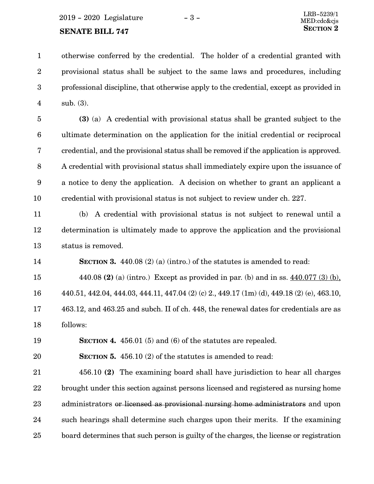**SENATE BILL 747** 

otherwise conferred by the credential. The holder of a credential granted with provisional status shall be subject to the same laws and procedures, including professional discipline, that otherwise apply to the credential, except as provided in sub. (3). 1 2 3 4

**(3)** (a) A credential with provisional status shall be granted subject to the ultimate determination on the application for the initial credential or reciprocal credential, and the provisional status shall be removed if the application is approved. A credential with provisional status shall immediately expire upon the issuance of a notice to deny the application. A decision on whether to grant an applicant a credential with provisional status is not subject to review under ch. 227. 5 6 7 8 9 10

(b) A credential with provisional status is not subject to renewal until a determination is ultimately made to approve the application and the provisional status is removed. 11 12 13

**SECTION 3.** 440.08 (2) (a) (intro.) of the statutes is amended to read: 14

440.08 **(2)** (a) (intro.) Except as provided in par. (b) and in ss. 440.077 (3) (b), 440.51, 442.04, 444.03, 444.11, 447.04 (2) (c) 2., 449.17 (1m) (d), 449.18 (2) (e), 463.10, 463.12, and 463.25 and subch. II of ch. 448, the renewal dates for credentials are as follows: 15 16 17 18

19

**SECTION 4.** 456.01 (5) and (6) of the statutes are repealed.

**SECTION 5.** 456.10 (2) of the statutes is amended to read: 20

456.10 **(2)** The examining board shall have jurisdiction to hear all charges brought under this section against persons licensed and registered as nursing home administrators or licensed as provisional nursing home administrators and upon such hearings shall determine such charges upon their merits. If the examining board determines that such person is guilty of the charges, the license or registration 21 22 23 24 25